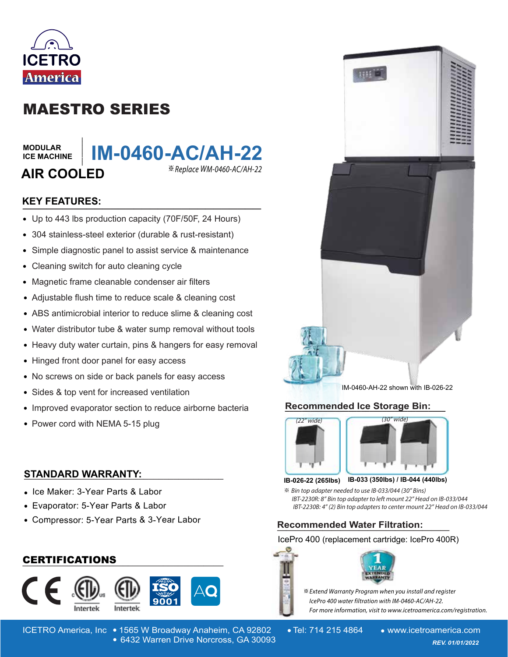

## MAESTRO SERIES

#### **MODULAR ICE MACHINE**

# **AIR COOLED**



## **KEY FEATURES:**

- Up to 443 lbs production capacity (70F/50F, 24 Hours)
- 304 stainless-steel exterior (durable & rust-resistant)
- Simple diagnostic panel to assist service & maintenance  $\bullet$
- Cleaning switch for auto cleaning cycle  $\bullet$
- Magnetic frame cleanable condenser air filters  $\bullet$
- Adjustable flush time to reduce scale & cleaning cost
- ABS antimicrobial interior to reduce slime & cleaning cost
- Water distributor tube & water sump removal without tools
- Heavy duty water curtain, pins & hangers for easy removal
- Hinged front door panel for easy access
- No screws on side or back panels for easy access  $\bullet$
- $\bullet$ Sides & top vent for increased ventilation
- Improved evaporator section to reduce airborne bacteria
- Power cord with NEMA 5-15 plug

## **STANDARD WARRANTY: \_\_\_\_\_\_\_\_\_\_\_\_\_\_\_\_\_\_\_\_\_\_\_\_\_\_\_\_\_\_\_\_\_\_\_\_\_\_\_\_**

- Ice Maker: 3-Year Parts & Labor
- Evaporator: 5-Year Parts & Labor
- Compressor: 5-Year Parts & 3-Year Labor

## **\_\_\_\_\_\_\_\_\_\_\_\_\_\_\_\_\_\_\_\_\_\_\_\_\_\_\_\_\_\_\_\_\_\_\_\_\_\_\_\_** CERTIFICATIONS





ICETRO America, Inc • 1565 W Broadway Anaheim, CA 92802 • Tel: 714 215 4864 • www.icetroamerica.com 6432 Warren Drive Norcross, GA 30093 *REV. 01/01/2022* 6432 Warren Drive Norcross, GA 30093







#### **IB-033 (350lbs) / IB-044 (440lbs) IB-026-22 (265lbs)**

 $\%$  **Bin top adapter needed to use IB-033/044 (30" Bins)** *IBT-2230R: 8" Bin top adapter to left mount 22" Head on IB-033/044 IBT-2230B: 4" (2) Bin top adapters to center mount 22" Head on IB-033/044* 

## **Recommended Water Filtration: \_\_\_\_\_\_\_\_\_\_\_\_\_\_\_\_\_\_\_**

### IcePro 400 (replacement cartridge: IcePro 400R)





 $\stackrel{\text{\tiny def}}{=}$  Extend Warranty Program when you install and register *- -* For more information, visit to www.icetroamerica.com/registration.